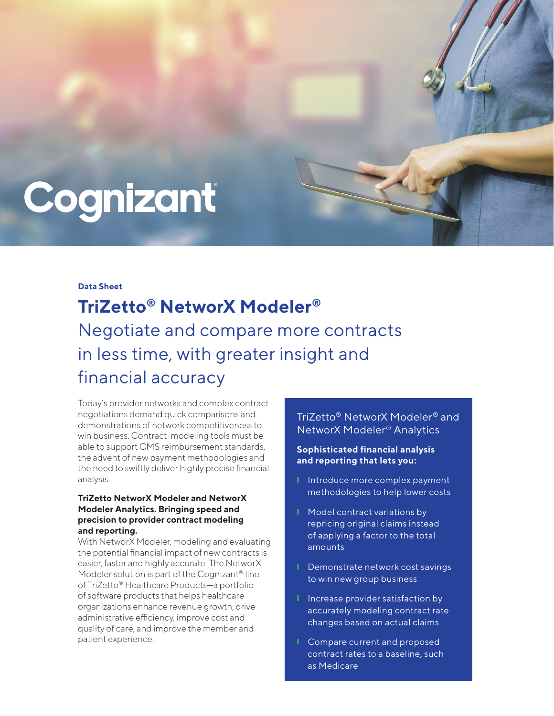# Cognizant

#### **Data Sheet**

**TriZetto® NetworX Modeler®** Negotiate and compare more contracts in less time, with greater insight and financial accuracy

Today's provider networks and complex contract negotiations demand quick comparisons and demonstrations of network competitiveness to win business. Contract-modeling tools must be able to support CMS reimbursement standards, the advent of new payment methodologies and the need to swiftly deliver highly precise financial analysis.

## **TriZetto NetworX Modeler and NetworX Modeler Analytics. Bringing speed and precision to provider contract modeling and reporting.**

With NetworX Modeler, modeling and evaluating the potential financial impact of new contracts is easier, faster and highly accurate. The NetworX Modeler solution is part of the Cognizant® line of TriZetto® Healthcare Products—a portfolio of software products that helps healthcare organizations enhance revenue growth, drive administrative efficiency, improve cost and quality of care, and improve the member and patient experience.

## TriZetto® NetworX Modeler® and NetworX Modeler® Analytics

### **Sophisticated financial analysis and reporting that lets you:**

- **I** Introduce more complex payment methodologies to help lower costs
- Model contract variations by repricing original claims instead of applying a factor to the total amounts
- **Ⅰ** Demonstrate network cost savings to win new group business
- Increase provider satisfaction by accurately modeling contract rate changes based on actual claims
- Compare current and proposed contract rates to a baseline, such as Medicare